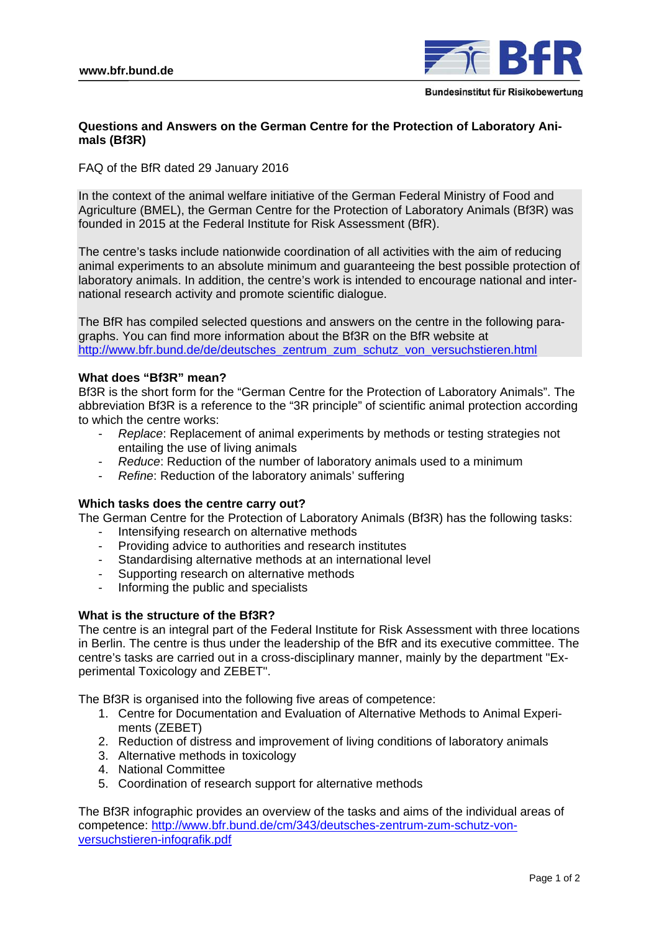

# **Questions and Answers on the German Centre for the Protection of Laboratory Animals (Bf3R)**

FAQ of the BfR dated 29 January 2016

In the context of the animal welfare initiative of the German Federal Ministry of Food and Agriculture (BMEL), the German Centre for the Protection of Laboratory Animals (Bf3R) was founded in 2015 at the Federal Institute for Risk Assessment (BfR).

The centre's tasks include nationwide coordination of all activities with the aim of reducing animal experiments to an absolute minimum and guaranteeing the best possible protection of laboratory animals. In addition, the centre's work is intended to encourage national and international research activity and promote scientific dialogue.

The BfR has compiled selected questions and answers on the centre in the following paragraphs. You can find more information about the Bf3R on the BfR website at http://www.bfr.bund.de/de/deutsches\_zentrum\_zum\_schutz\_von\_versuchstieren.html

## **What does "Bf3R" mean?**

Bf3R is the short form for the "German Centre for the Protection of Laboratory Animals". The abbreviation Bf3R is a reference to the "3R principle" of scientific animal protection according to which the centre works:

- *Replace*: Replacement of animal experiments by methods or testing strategies not entailing the use of living animals
- *Reduce*: Reduction of the number of laboratory animals used to a minimum
- *Refine*: Reduction of the laboratory animals' suffering

### **Which tasks does the centre carry out?**

The German Centre for the Protection of Laboratory Animals (Bf3R) has the following tasks:

- Intensifying research on alternative methods
- Providing advice to authorities and research institutes
- Standardising alternative methods at an international level
- Supporting research on alternative methods
- Informing the public and specialists

### **What is the structure of the Bf3R?**

The centre is an integral part of the Federal Institute for Risk Assessment with three locations in Berlin. The centre is thus under the leadership of the BfR and its executive committee. The centre's tasks are carried out in a cross-disciplinary manner, mainly by the department "Experimental Toxicology and ZEBET".

The Bf3R is organised into the following five areas of competence:

- 1. Centre for Documentation and Evaluation of Alternative Methods to Animal Experiments (ZEBET)
- 2. Reduction of distress and improvement of living conditions of laboratory animals
- 3. Alternative methods in toxicology
- 4. National Committee
- 5. Coordination of research support for alternative methods

The Bf3R infographic provides an overview of the tasks and aims of the individual areas of competence: http://www.bfr.bund.de/cm/343/deutsches-zentrum-zum-schutz-vonversuchstieren-infografik.pdf